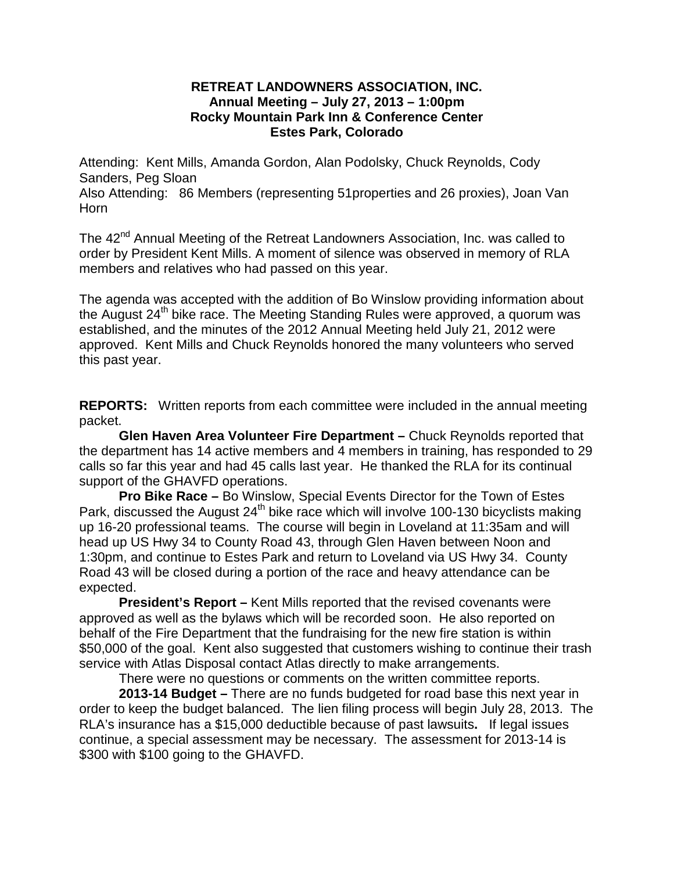## **RETREAT LANDOWNERS ASSOCIATION, INC. Annual Meeting – July 27, 2013 – 1:00pm Rocky Mountain Park Inn & Conference Center Estes Park, Colorado**

Attending: Kent Mills, Amanda Gordon, Alan Podolsky, Chuck Reynolds, Cody Sanders, Peg Sloan

Also Attending: 86 Members (representing 51properties and 26 proxies), Joan Van Horn

The 42<sup>nd</sup> Annual Meeting of the Retreat Landowners Association, Inc. was called to order by President Kent Mills. A moment of silence was observed in memory of RLA members and relatives who had passed on this year.

The agenda was accepted with the addition of Bo Winslow providing information about the August 24<sup>th</sup> bike race. The Meeting Standing Rules were approved, a quorum was established, and the minutes of the 2012 Annual Meeting held July 21, 2012 were approved. Kent Mills and Chuck Reynolds honored the many volunteers who served this past year.

**REPORTS:** Written reports from each committee were included in the annual meeting packet.

**Glen Haven Area Volunteer Fire Department –** Chuck Reynolds reported that the department has 14 active members and 4 members in training, has responded to 29 calls so far this year and had 45 calls last year. He thanked the RLA for its continual support of the GHAVFD operations.

**Pro Bike Race –** Bo Winslow, Special Events Director for the Town of Estes Park, discussed the August  $24<sup>th</sup>$  bike race which will involve 100-130 bicyclists making up 16-20 professional teams. The course will begin in Loveland at 11:35am and will head up US Hwy 34 to County Road 43, through Glen Haven between Noon and 1:30pm, and continue to Estes Park and return to Loveland via US Hwy 34. County Road 43 will be closed during a portion of the race and heavy attendance can be expected.

**President's Report –** Kent Mills reported that the revised covenants were approved as well as the bylaws which will be recorded soon. He also reported on behalf of the Fire Department that the fundraising for the new fire station is within \$50,000 of the goal. Kent also suggested that customers wishing to continue their trash service with Atlas Disposal contact Atlas directly to make arrangements.

There were no questions or comments on the written committee reports.

**2013-14 Budget –** There are no funds budgeted for road base this next year in order to keep the budget balanced. The lien filing process will begin July 28, 2013. The RLA's insurance has a \$15,000 deductible because of past lawsuits**.** If legal issues continue, a special assessment may be necessary. The assessment for 2013-14 is \$300 with \$100 going to the GHAVFD.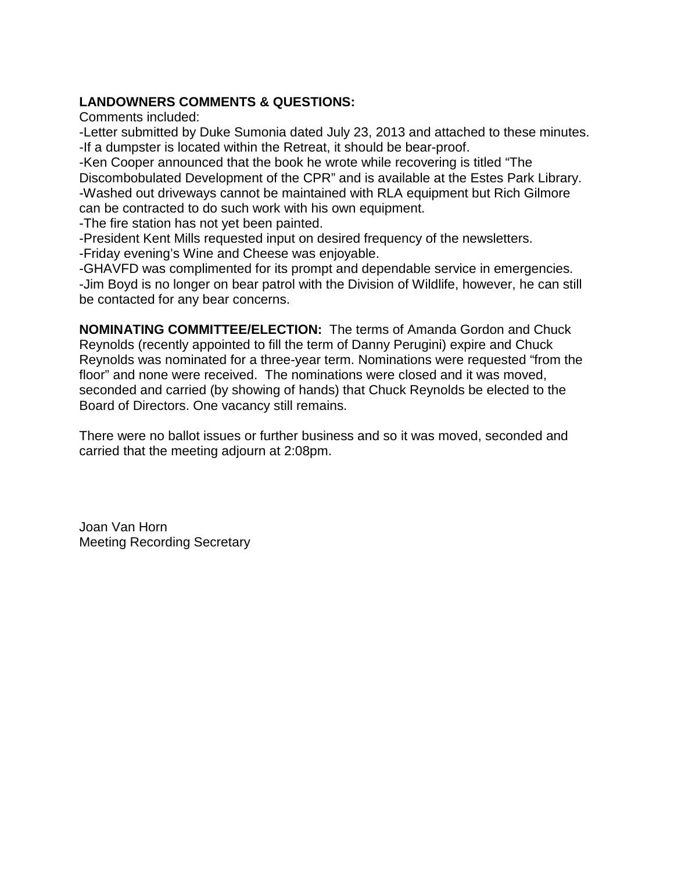## **LANDOWNERS COMMENTS & QUESTIONS:**

Comments included:

-Letter submitted by Duke Sumonia dated July 23, 2013 and attached to these minutes. -If a dumpster is located within the Retreat, it should be bear-proof.

-Ken Cooper announced that the book he wrote while recovering is titled "The Discombobulated Development of the CPR" and is available at the Estes Park Library. -Washed out driveways cannot be maintained with RLA equipment but Rich Gilmore can be contracted to do such work with his own equipment.

-The fire station has not yet been painted.

-President Kent Mills requested input on desired frequency of the newsletters.

-Friday evening's Wine and Cheese was enjoyable.

-GHAVFD was complimented for its prompt and dependable service in emergencies. -Jim Boyd is no longer on bear patrol with the Division of Wildlife, however, he can still be contacted for any bear concerns.

**NOMINATING COMMITTEE/ELECTION:** The terms of Amanda Gordon and Chuck Reynolds (recently appointed to fill the term of Danny Perugini) expire and Chuck Reynolds was nominated for a three-year term. Nominations were requested "from the floor" and none were received. The nominations were closed and it was moved, seconded and carried (by showing of hands) that Chuck Reynolds be elected to the Board of Directors. One vacancy still remains.

There were no ballot issues or further business and so it was moved, seconded and carried that the meeting adjourn at 2:08pm.

Joan Van Horn Meeting Recording Secretary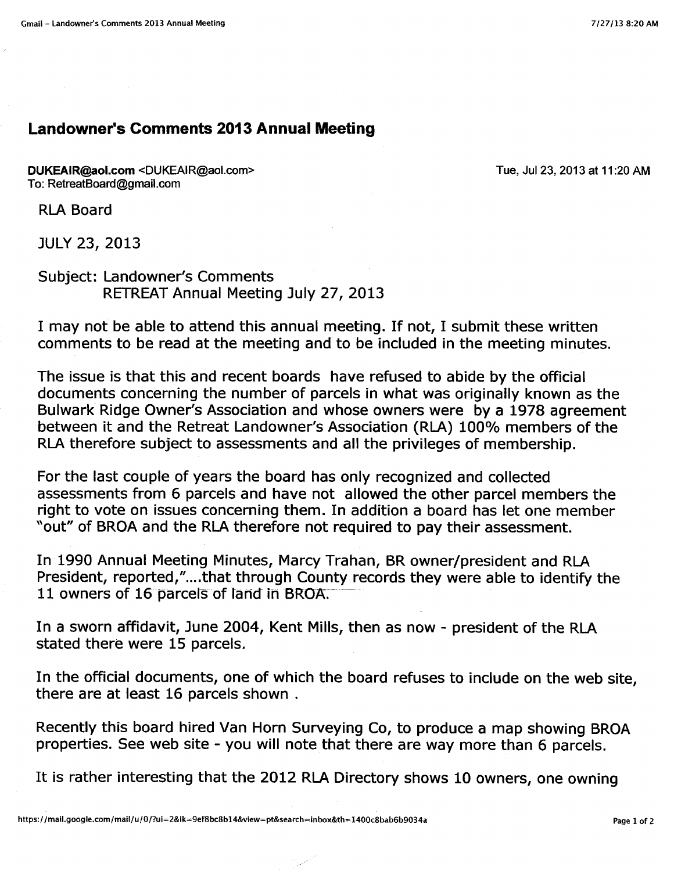## **Landowner's Comments 2013 Annual Meeting**

DUKEAIR@aol.com <DUKEAIR@aol.com> To: RetreatBoard@gmail.com

Tue, Jul 23, 2013 at 11:20 AM

**RLA Board** 

**JULY 23, 2013** 

**Subject: Landowner's Comments** RETREAT Annual Meeting July 27, 2013

I may not be able to attend this annual meeting. If not, I submit these written comments to be read at the meeting and to be included in the meeting minutes.

The issue is that this and recent boards have refused to abide by the official documents concerning the number of parcels in what was originally known as the Bulwark Ridge Owner's Association and whose owners were by a 1978 agreement between it and the Retreat Landowner's Association (RLA) 100% members of the RLA therefore subject to assessments and all the privileges of membership.

For the last couple of years the board has only recognized and collected assessments from 6 parcels and have not allowed the other parcel members the right to vote on issues concerning them. In addition a board has let one member "out" of BROA and the RLA therefore not required to pay their assessment.

In 1990 Annual Meeting Minutes, Marcy Trahan, BR owner/president and RLA President, reported,"....that through County records they were able to identify the 11 owners of 16 parcels of land in BROA.

In a sworn affidavit, June 2004, Kent Mills, then as now - president of the RLA stated there were 15 parcels.

In the official documents, one of which the board refuses to include on the web site. there are at least 16 parcels shown.

Recently this board hired Van Horn Surveying Co, to produce a map showing BROA properties. See web site - you will note that there are way more than 6 parcels.

It is rather interesting that the 2012 RLA Directory shows 10 owners, one owning